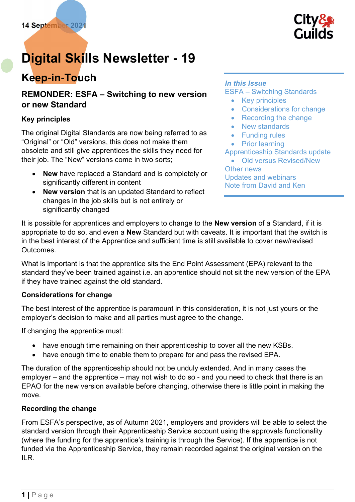

# Digital Skills Newsletter - 19

## Keep-in-Touch

## REMONDER: ESFA – Switching to new version or new Standard

## Key principles

The original Digital Standards are now being referred to as "Original" or "Old" versions, this does not make them obsolete and still give apprentices the skills they need for their job. The "New" versions come in two sorts;

- New have replaced a Standard and is completely or significantly different in content
- New version that is an updated Standard to reflect changes in the job skills but is not entirely or significantly changed

## In this Issue

ESFA – Switching Standards

- Key principles
- Considerations for change
- Recording the change
- New standards
- Funding rules
- Prior learning

Apprenticeship Standards update

 Old versus Revised/New Other news Updates and webinars Note from David and Ken

It is possible for apprentices and employers to change to the **New version** of a Standard, if it is appropriate to do so, and even a **New** Standard but with caveats. It is important that the switch is in the best interest of the Apprentice and sufficient time is still available to cover new/revised Outcomes.

What is important is that the apprentice sits the End Point Assessment (EPA) relevant to the standard they've been trained against i.e. an apprentice should not sit the new version of the EPA if they have trained against the old standard.

## Considerations for change

The best interest of the apprentice is paramount in this consideration, it is not just yours or the employer's decision to make and all parties must agree to the change.

If changing the apprentice must:

- have enough time remaining on their apprenticeship to cover all the new KSBs.
- have enough time to enable them to prepare for and pass the revised EPA.

The duration of the apprenticeship should not be unduly extended. And in many cases the employer – and the apprentice – may not wish to do so - and you need to check that there is an EPAO for the new version available before changing, otherwise there is little point in making the move.

## Recording the change

From ESFA's perspective, as of Autumn 2021, employers and providers will be able to select the standard version through their Apprenticeship Service account using the approvals functionality (where the funding for the apprentice's training is through the Service). If the apprentice is not funded via the Apprenticeship Service, they remain recorded against the original version on the ILR.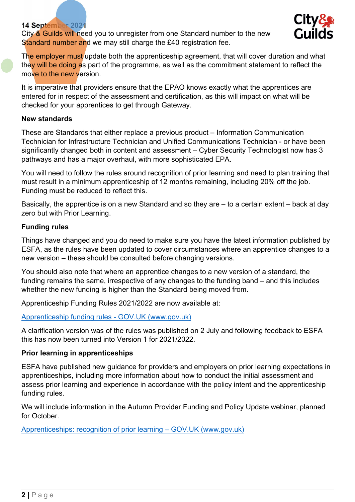City & Guilds will need you to unregister from one Standard number to the new Standard number and we may still charge the £40 registration fee.



The employer must update both the apprenticeship agreement, that will cover duration and what they will be doing as part of the programme, as well as the commitment statement to reflect the move to the new version.

It is imperative that providers ensure that the EPAO knows exactly what the apprentices are entered for in respect of the assessment and certification, as this will impact on what will be checked for your apprentices to get through Gateway.

#### New standards

These are Standards that either replace a previous product – Information Communication Technician for Infrastructure Technician and Unified Communications Technician - or have been significantly changed both in content and assessment – Cyber Security Technologist now has 3 pathways and has a major overhaul, with more sophisticated EPA.

You will need to follow the rules around recognition of prior learning and need to plan training that must result in a minimum apprenticeship of 12 months remaining, including 20% off the job. Funding must be reduced to reflect this.

Basically, the apprentice is on a new Standard and so they are – to a certain extent – back at day zero but with Prior Learning.

## Funding rules

Things have changed and you do need to make sure you have the latest information published by ESFA, as the rules have been updated to cover circumstances where an apprentice changes to a new version – these should be consulted before changing versions.

You should also note that where an apprentice changes to a new version of a standard, the funding remains the same, irrespective of any changes to the funding band – and this includes whether the new funding is higher than the Standard being moved from.

Apprenticeship Funding Rules 2021/2022 are now available at:

#### [Apprenticeship funding rules - GOV.UK \(www.gov.uk\)](https://www.gov.uk/guidance/apprenticeship-funding-rules)

A clarification version was of the rules was published on 2 July and following feedback to ESFA this has now been turned into Version 1 for 2021/2022.

## Prior learning in apprenticeships

ESFA have published new guidance for providers and employers on prior learning expectations in apprenticeships, including more information about how to conduct the initial assessment and assess prior learning and experience in accordance with the policy intent and the apprenticeship funding rules.

We will include information in the Autumn Provider Funding and Policy Update webinar, planned for October.

[Apprenticeships: recognition of prior learning – GOV.UK \(www.gov.uk\)](https://www.gov.uk/government/publications/apprenticeships-recognition-of-prior-learning)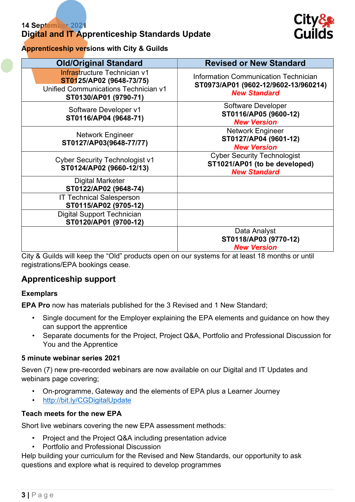## Digital and IT Apprenticeship Standards Update



## Apprenticeship versions with City & Guilds

| <b>Old/Original Standard</b>                                                                                                     | <b>Revised or New Standard</b>                                                                             |
|----------------------------------------------------------------------------------------------------------------------------------|------------------------------------------------------------------------------------------------------------|
| <b>Infrastructure Technician v1</b><br>ST0125/AP02 (9648-73/75)<br>Unified Communications Technician v1<br>ST0130/AP01 (9790-71) | <b>Information Communication Technician</b><br>ST0973/AP01 (9602-12/9602-13/960214)<br><b>New Standard</b> |
| Software Developer v1<br>ST0116/AP04 (9648-71)                                                                                   | <b>Software Developer</b><br>ST0116/AP05 (9600-12)<br><b>New Version</b>                                   |
| <b>Network Engineer</b><br>ST0127/AP03(9648-77/77)                                                                               | <b>Network Engineer</b><br>ST0127/AP04 (9601-12)<br><b>New Version</b>                                     |
| <b>Cyber Security Technologist v1</b><br>ST0124/AP02 (9660-12/13)                                                                | <b>Cyber Security Technologist</b><br>ST1021/AP01 (to be developed)<br><b>New Standard</b>                 |
| <b>Digital Marketer</b><br>ST0122/AP02 (9648-74)                                                                                 |                                                                                                            |
| <b>IT Technical Salesperson</b><br>ST0115/AP02 (9705-12)                                                                         |                                                                                                            |
| <b>Digital Support Technician</b><br>ST0120/AP01 (9700-12)                                                                       |                                                                                                            |
| $\mathbf{A}$ and $\mathbf{A}$ and $\mathbf{A}$ and $\mathbf{A}$<br>$\mathbf{u}$ $\mathbf{u}$ $\mathbf{v}$                        | Data Analyst<br>ST0118/AP03 (9770-12)<br><b>New Version</b><br>$\cdots$                                    |

City & Guilds will keep the "Old" products open on our systems for at least 18 months or until registrations/EPA bookings cease.

## Apprenticeship support

#### Exemplars

EPA Pro now has materials published for the 3 Revised and 1 New Standard;

- Single document for the Employer explaining the EPA elements and guidance on how they can support the apprentice
- Separate documents for the Project, Project Q&A, Portfolio and Professional Discussion for You and the Apprentice

#### 5 minute webinar series 2021

Seven (7) new pre-recorded webinars are now available on our Digital and IT Updates and webinars page covering;

- On-programme, Gateway and the elements of EPA plus a Learner Journey
- http://bit.ly/CGDigitalUpdate

#### Teach meets for the new EPA

Short live webinars covering the new EPA assessment methods:

- Project and the Project Q&A including presentation advice
- Portfolio and Professional Discussion

Help building your curriculum for the Revised and New Standards, our opportunity to ask questions and explore what is required to develop programmes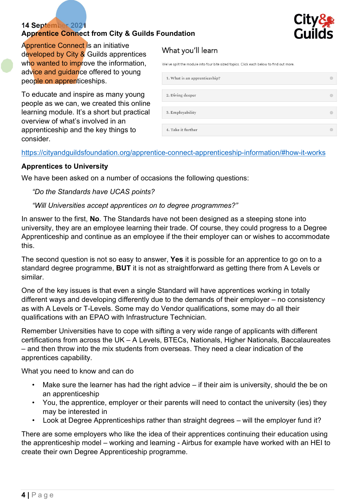## Apprentice Connect from City & Guilds Foundation



Apprentice Connect is an initiative developed by City & Guilds apprentices who wanted to improve the information, advice and guidance offered to young people on apprenticeships.

To educate and inspire as many young people as we can, we created this online learning module. It's a short but practical overview of what's involved in an apprenticeship and the key things to consider.

## What you'll learn

We've split the module into four bite sized topics. Click each below to find out more

#### https://cityandguildsfoundation.org/apprentice-connect-apprenticeship-information/#how-it-works

## Apprentices to University

We have been asked on a number of occasions the following questions:

#### "Do the Standards have UCAS points?

## "Will Universities accept apprentices on to degree programmes?"

In answer to the first, No. The Standards have not been designed as a steeping stone into university, they are an employee learning their trade. Of course, they could progress to a Degree Apprenticeship and continue as an employee if the their employer can or wishes to accommodate this.

The second question is not so easy to answer, Yes it is possible for an apprentice to go on to a standard degree programme, **BUT** it is not as straightforward as getting there from A Levels or similar.

One of the key issues is that even a single Standard will have apprentices working in totally different ways and developing differently due to the demands of their employer – no consistency as with A Levels or T-Levels. Some may do Vendor qualifications, some may do all their qualifications with an EPAO with Infrastructure Technician.

Remember Universities have to cope with sifting a very wide range of applicants with different certifications from across the UK – A Levels, BTECs, Nationals, Higher Nationals, Baccalaureates – and then throw into the mix students from overseas. They need a clear indication of the apprentices capability.

What you need to know and can do

- Make sure the learner has had the right advice if their aim is university, should the be on an apprenticeship
- You, the apprentice, employer or their parents will need to contact the university (ies) they may be interested in
- Look at Degree Apprenticeships rather than straight degrees will the employer fund it?

There are some employers who like the idea of their apprentices continuing their education using the apprenticeship model – working and learning - Airbus for example have worked with an HEI to create their own Degree Apprenticeship programme.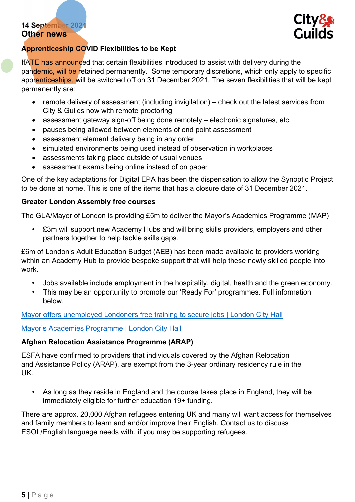## 14 September 2021 Other news



## Apprenticeship COVID Flexibilities to be Kept

IfATE has announced that certain flexibilities introduced to assist with delivery during the pandemic, will be retained permanently. Some temporary discretions, which only apply to specific apprenticeships, will be switched off on 31 December 2021. The seven flexibilities that will be kept permanently are:

- remote delivery of assessment (including invigilation) check out the latest services from City & Guilds now with remote proctoring
- assessment gateway sign-off being done remotely electronic signatures, etc.
- pauses being allowed between elements of end point assessment
- assessment element delivery being in any order
- simulated environments being used instead of observation in workplaces
- assessments taking place outside of usual venues
- assessment exams being online instead of on paper

One of the key adaptations for Digital EPA has been the dispensation to allow the Synoptic Project to be done at home. This is one of the items that has a closure date of 31 December 2021.

#### Greater London Assembly free courses

The GLA/Mayor of London is providing £5m to deliver the Mayor's Academies Programme (MAP)

• £3m will support new Academy Hubs and will bring skills providers, employers and other partners together to help tackle skills gaps.

£6m of London's Adult Education Budget (AEB) has been made available to providers working within an Academy Hub to provide bespoke support that will help these newly skilled people into work.

- Jobs available include employment in the hospitality, digital, health and the green economy.
- This may be an opportunity to promote our 'Ready For' programmes. Full information below.

[Mayor offers unemployed Londoners free training to secure jobs | London City Hall](https://www.london.gov.uk/press-releases/mayoral/mayor-offers-unemployed-londoners-free-training)

[Mayor's Academies Programme | London City Hall](https://www.london.gov.uk/what-we-do/skills-and-employment-1/mayors-academies-programme)

#### Afghan Relocation Assistance Programme (ARAP)

ESFA have confirmed to providers that individuals covered by the Afghan Relocation and Assistance Policy (ARAP), are exempt from the 3-year ordinary residency rule in the UK.

As long as they reside in England and the course takes place in England, they will be immediately eligible for further education 19+ funding.

There are approx. 20,000 Afghan refugees entering UK and many will want access for themselves and family members to learn and and/or improve their English. Contact us to discuss ESOL/English language needs with, if you may be supporting refugees.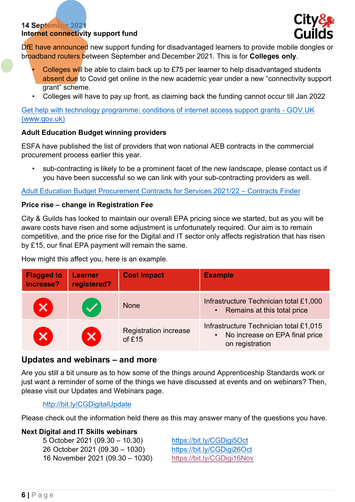## 14 September 2021 Internet connectivity support fund



DfE have announced new support funding for disadvantaged learners to provide mobile dongles or broadband routers between September and December 2021. This is for Colleges only.

- Colleges will be able to claim back up to £75 per learner to help disadvantaged students absent due to Covid get online in the new academic year under a new "connectivity support grant" scheme.
- Colleges will have to pay up front, as claiming back the funding cannot occur till Jan 2022

[Get help with technology programme: conditions of internet access support grants - GOV.UK](https://www.gov.uk/government/publications/get-help-with-technology-conditions-of-connectivity-support-grants/get-help-with-technology-programme-conditions-of-internet-access-support-grants)  (www.gov.uk)

## Adult Education Budget winning providers

ESFA have published the list of providers that won national AEB contracts in the commercial procurement process earlier this year.

• sub-contracting is likely to be a prominent facet of the new landscape, please contact us if you have been successful so we can link with your sub-contracting providers as well.

[Adult Education Budget Procurement Contracts for Services 2021/22 – Contracts Finder](https://www.contractsfinder.service.gov.uk/notice/0899e036-ebd4-4d31-98b9-3df9fd62813c?origin=SearchResults&p=1.&_ga=2.130916623.1420463410.1630506456-455357625.1611568767)

#### Price rise – change in Registration Fee

City & Guilds has looked to maintain our overall EPA pricing since we started, but as you will be aware costs have risen and some adjustment is unfortunately required. Our aim is to remain competitive, and the price rise for the Digital and IT sector only affects registration that has risen by £15, our final EPA payment will remain the same.

How might this affect you, here is an example.

| <b>Flagged to</b><br>increase? | <b>Learner</b><br>registered? | <b>Cost impact</b>                       | <b>Example</b>                                                                                           |
|--------------------------------|-------------------------------|------------------------------------------|----------------------------------------------------------------------------------------------------------|
| $\boldsymbol{\mathsf{x}}$      |                               | <b>None</b>                              | Infrastructure Technician total £1,000<br>• Remains at this total price                                  |
| $\boldsymbol{\mathsf{x}}$      | $\overline{\mathbf{x}}$       | <b>Registration increase</b><br>of $£15$ | Infrastructure Technician total £1,015<br>No increase on EPA final price<br>$\bullet$<br>on registration |

## Updates and webinars – and more

Are you still a bit unsure as to how some of the things around Apprenticeship Standards work or just want a reminder of some of the things we have discussed at events and on webinars? Then, please visit our Updates and Webinars page.

#### http://bit.ly/CGDigitalUpdate

Please check out the information held there as this may answer many of the questions you have.

## Next Digital and IT Skills webinars

 5 October 2021 (09.30 – 10.30) https://bit.ly/CGDigi5Oct 26 October 2021 (09.30 – 1030) https://bit.ly/CGDigi26Oct 16 November 2021 (09.30 – 1030) https://bit.ly/CGDigi16Nov